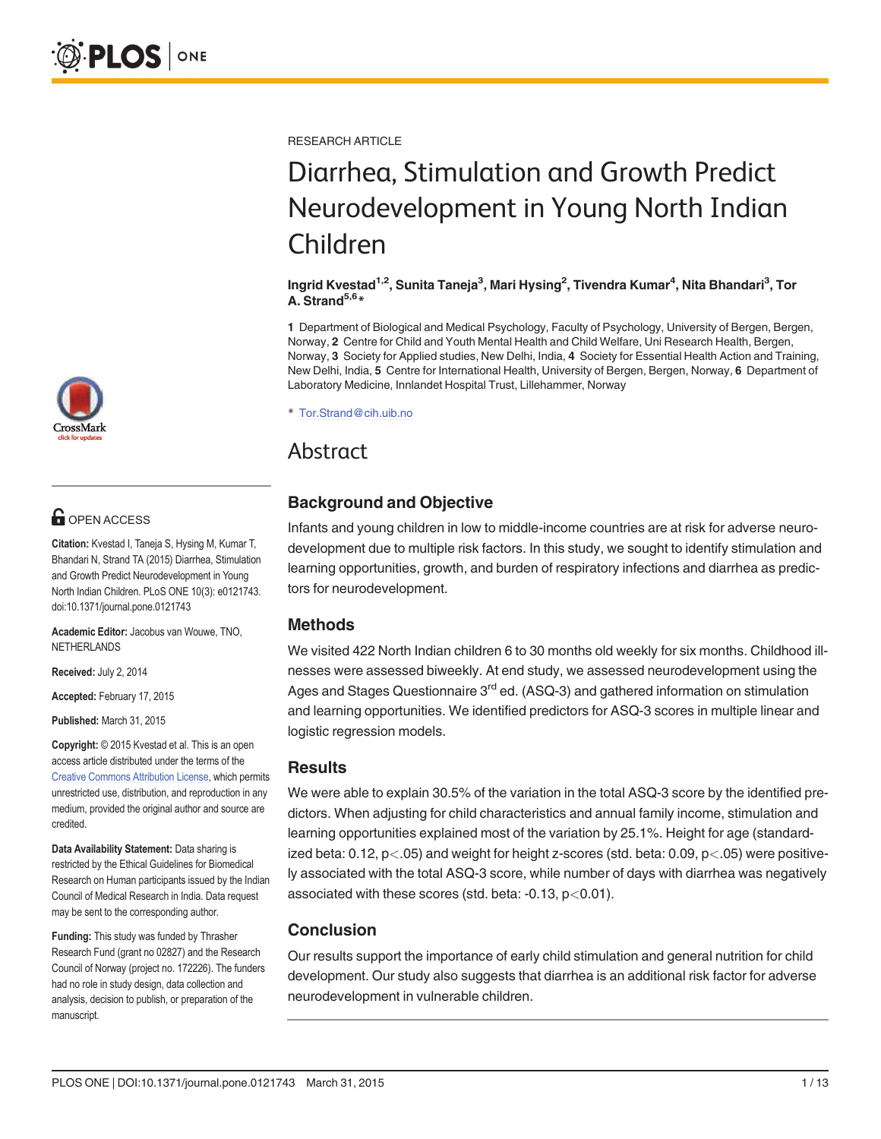

# **OPEN ACCESS**

Citation: Kvestad I, Taneja S, Hysing M, Kumar T, Bhandari N, Strand TA (2015) Diarrhea, Stimulation and Growth Predict Neurodevelopment in Young North Indian Children. PLoS ONE 10(3): e0121743. doi:10.1371/journal.pone.0121743

Academic Editor: Jacobus van Wouwe, TNO, NETHERLANDS

Received: July 2, 2014

Accepted: February 17, 2015

Published: March 31, 2015

Copyright: © 2015 Kvestad et al. This is an open access article distributed under the terms of the [Creative Commons Attribution License,](http://creativecommons.org/licenses/by/4.0/) which permits unrestricted use, distribution, and reproduction in any medium, provided the original author and source are credited.

Data Availability Statement: Data sharing is restricted by the Ethical Guidelines for Biomedical Research on Human participants issued by the Indian Council of Medical Research in India. Data request may be sent to the corresponding author.

Funding: This study was funded by Thrasher Research Fund (grant no 02827) and the Research Council of Norway (project no. 172226). The funders had no role in study design, data collection and analysis, decision to publish, or preparation of the manuscript.

RESEARCH ARTICLE

# Diarrhea, Stimulation and Growth Predict Neurodevelopment in Young North Indian Children

#### Ingrid Kvestad<sup>1,2</sup>, Sunita Taneja<sup>3</sup>, Mari Hysing<sup>2</sup>, Tivendra Kumar<sup>4</sup>, Nita Bhandari<sup>3</sup>, Tor A. Strand $5,6*$

1 Department of Biological and Medical Psychology, Faculty of Psychology, University of Bergen, Bergen, Norway, 2 Centre for Child and Youth Mental Health and Child Welfare, Uni Research Health, Bergen, Norway, 3 Society for Applied studies, New Delhi, India, 4 Society for Essential Health Action and Training, New Delhi, India, 5 Centre for International Health, University of Bergen, Bergen, Norway, 6 Department of Laboratory Medicine, Innlandet Hospital Trust, Lillehammer, Norway

\* Tor.Strand@cih.uib.no

# Abstract

# Background and Objective

Infants and young children in low to middle-income countries are at risk for adverse neurodevelopment due to multiple risk factors. In this study, we sought to identify stimulation and learning opportunities, growth, and burden of respiratory infections and diarrhea as predictors for neurodevelopment.

# Methods

We visited 422 North Indian children 6 to 30 months old weekly for six months. Childhood illnesses were assessed biweekly. At end study, we assessed neurodevelopment using the Ages and Stages Questionnaire 3<sup>rd</sup> ed. (ASQ-3) and gathered information on stimulation and learning opportunities. We identified predictors for ASQ-3 scores in multiple linear and logistic regression models.

# **Results**

We were able to explain 30.5% of the variation in the total ASQ-3 score by the identified predictors. When adjusting for child characteristics and annual family income, stimulation and learning opportunities explained most of the variation by 25.1%. Height for age (standardized beta:  $0.12$ ,  $p < 05$ ) and weight for height z-scores (std. beta:  $0.09$ ,  $p < 05$ ) were positively associated with the total ASQ-3 score, while number of days with diarrhea was negatively associated with these scores (std. beta:  $-0.13$ ,  $p < 0.01$ ).

# Conclusion

Our results support the importance of early child stimulation and general nutrition for child development. Our study also suggests that diarrhea is an additional risk factor for adverse neurodevelopment in vulnerable children.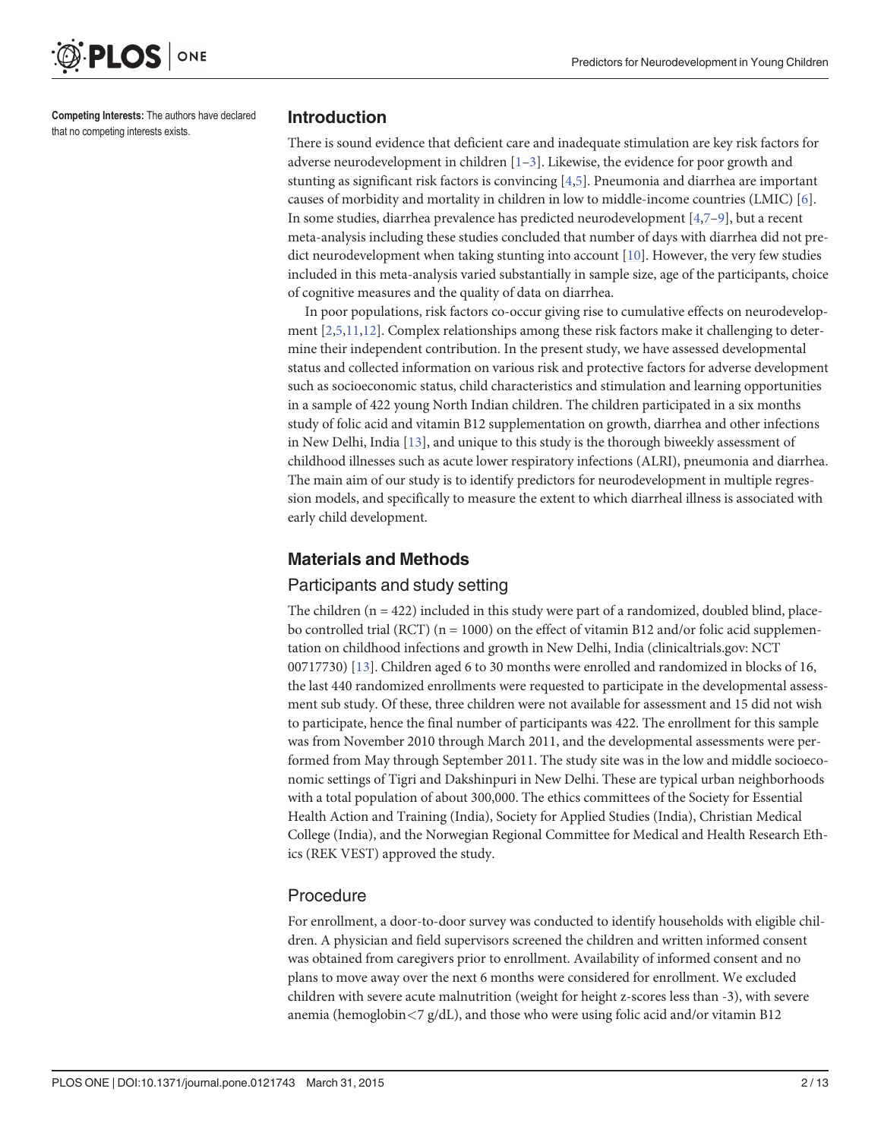<span id="page-1-0"></span>

Competing Interests: The authors have declared that no competing interests exists.

#### Introduction

There is sound evidence that deficient care and inadequate stimulation are key risk factors for adverse neurodevelopment in children  $[1-3]$  $[1-3]$  $[1-3]$ . Likewise, the evidence for poor growth and stunting as significant risk factors is convincing [\[4,](#page-10-0)[5\]](#page-11-0). Pneumonia and diarrhea are important causes of morbidity and mortality in children in low to middle-income countries (LMIC) [\[6\]](#page-11-0). In some studies, diarrhea prevalence has predicted neurodevelopment [\[4](#page-10-0)[,7](#page-11-0)–[9\]](#page-11-0), but a recent meta-analysis including these studies concluded that number of days with diarrhea did not predict neurodevelopment when taking stunting into account [[10](#page-11-0)]. However, the very few studies included in this meta-analysis varied substantially in sample size, age of the participants, choice of cognitive measures and the quality of data on diarrhea.

In poor populations, risk factors co-occur giving rise to cumulative effects on neurodevelopment  $[2,5,11,12]$  $[2,5,11,12]$ . Complex relationships among these risk factors make it challenging to determine their independent contribution. In the present study, we have assessed developmental status and collected information on various risk and protective factors for adverse development such as socioeconomic status, child characteristics and stimulation and learning opportunities in a sample of 422 young North Indian children. The children participated in a six months study of folic acid and vitamin B12 supplementation on growth, diarrhea and other infections in New Delhi, India [[13](#page-11-0)], and unique to this study is the thorough biweekly assessment of childhood illnesses such as acute lower respiratory infections (ALRI), pneumonia and diarrhea. The main aim of our study is to identify predictors for neurodevelopment in multiple regression models, and specifically to measure the extent to which diarrheal illness is associated with early child development.

## Materials and Methods

#### Participants and study setting

The children  $(n = 422)$  included in this study were part of a randomized, doubled blind, placebo controlled trial (RCT) ( $n = 1000$ ) on the effect of vitamin B12 and/or folic acid supplementation on childhood infections and growth in New Delhi, India (clinicaltrials.gov: NCT 00717730) [\[13](#page-11-0)]. Children aged 6 to 30 months were enrolled and randomized in blocks of 16, the last 440 randomized enrollments were requested to participate in the developmental assessment sub study. Of these, three children were not available for assessment and 15 did not wish to participate, hence the final number of participants was 422. The enrollment for this sample was from November 2010 through March 2011, and the developmental assessments were performed from May through September 2011. The study site was in the low and middle socioeconomic settings of Tigri and Dakshinpuri in New Delhi. These are typical urban neighborhoods with a total population of about 300,000. The ethics committees of the Society for Essential Health Action and Training (India), Society for Applied Studies (India), Christian Medical College (India), and the Norwegian Regional Committee for Medical and Health Research Ethics (REK VEST) approved the study.

### Procedure

For enrollment, a door-to-door survey was conducted to identify households with eligible children. A physician and field supervisors screened the children and written informed consent was obtained from caregivers prior to enrollment. Availability of informed consent and no plans to move away over the next 6 months were considered for enrollment. We excluded children with severe acute malnutrition (weight for height z-scores less than -3), with severe anemia (hemoglobin $\langle 7 \text{ g}/dL$ ), and those who were using folic acid and/or vitamin B12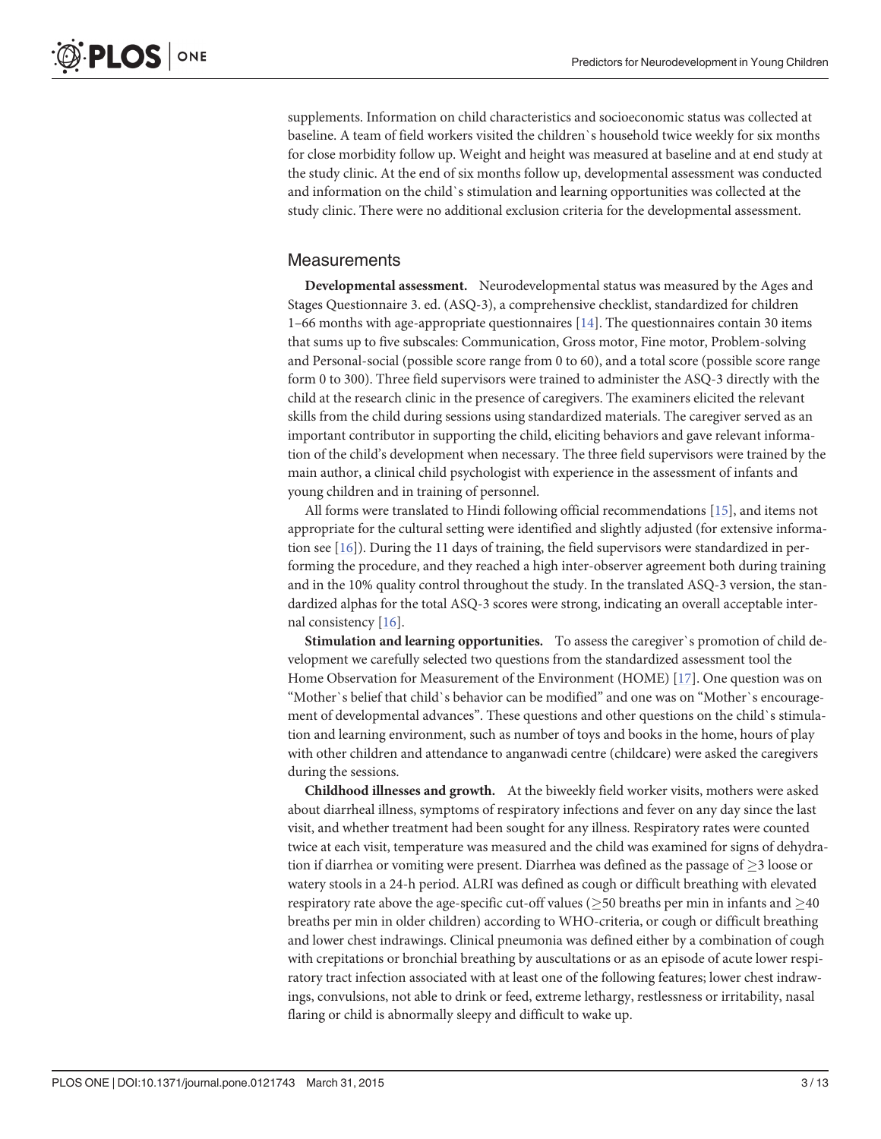<span id="page-2-0"></span>supplements. Information on child characteristics and socioeconomic status was collected at baseline. A team of field workers visited the children`s household twice weekly for six months for close morbidity follow up. Weight and height was measured at baseline and at end study at the study clinic. At the end of six months follow up, developmental assessment was conducted and information on the child`s stimulation and learning opportunities was collected at the study clinic. There were no additional exclusion criteria for the developmental assessment.

#### **Measurements**

Developmental assessment. Neurodevelopmental status was measured by the Ages and Stages Questionnaire 3. ed. (ASQ-3), a comprehensive checklist, standardized for children 1–66 months with age-appropriate questionnaires  $[14]$  $[14]$ . The questionnaires contain 30 items that sums up to five subscales: Communication, Gross motor, Fine motor, Problem-solving and Personal-social (possible score range from 0 to 60), and a total score (possible score range form 0 to 300). Three field supervisors were trained to administer the ASQ-3 directly with the child at the research clinic in the presence of caregivers. The examiners elicited the relevant skills from the child during sessions using standardized materials. The caregiver served as an important contributor in supporting the child, eliciting behaviors and gave relevant information of the child's development when necessary. The three field supervisors were trained by the main author, a clinical child psychologist with experience in the assessment of infants and young children and in training of personnel.

All forms were translated to Hindi following official recommendations [[15](#page-11-0)], and items not appropriate for the cultural setting were identified and slightly adjusted (for extensive information see  $[16]$  $[16]$  $[16]$ ). During the 11 days of training, the field supervisors were standardized in performing the procedure, and they reached a high inter-observer agreement both during training and in the 10% quality control throughout the study. In the translated ASQ-3 version, the standardized alphas for the total ASQ-3 scores were strong, indicating an overall acceptable internal consistency [\[16\]](#page-11-0).

Stimulation and learning opportunities. To assess the caregiver`s promotion of child development we carefully selected two questions from the standardized assessment tool the Home Observation for Measurement of the Environment (HOME) [\[17\]](#page-11-0). One question was on "Mother`s belief that child`s behavior can be modified" and one was on "Mother`s encouragement of developmental advances". These questions and other questions on the child`s stimulation and learning environment, such as number of toys and books in the home, hours of play with other children and attendance to anganwadi centre (childcare) were asked the caregivers during the sessions.

Childhood illnesses and growth. At the biweekly field worker visits, mothers were asked about diarrheal illness, symptoms of respiratory infections and fever on any day since the last visit, and whether treatment had been sought for any illness. Respiratory rates were counted twice at each visit, temperature was measured and the child was examined for signs of dehydration if diarrhea or vomiting were present. Diarrhea was defined as the passage of  $\geq$  3 loose or watery stools in a 24-h period. ALRI was defined as cough or difficult breathing with elevated respiratory rate above the age-specific cut-off values ( $\geq$ 50 breaths per min in infants and  $\geq$ 40 breaths per min in older children) according to WHO-criteria, or cough or difficult breathing and lower chest indrawings. Clinical pneumonia was defined either by a combination of cough with crepitations or bronchial breathing by auscultations or as an episode of acute lower respiratory tract infection associated with at least one of the following features; lower chest indrawings, convulsions, not able to drink or feed, extreme lethargy, restlessness or irritability, nasal flaring or child is abnormally sleepy and difficult to wake up.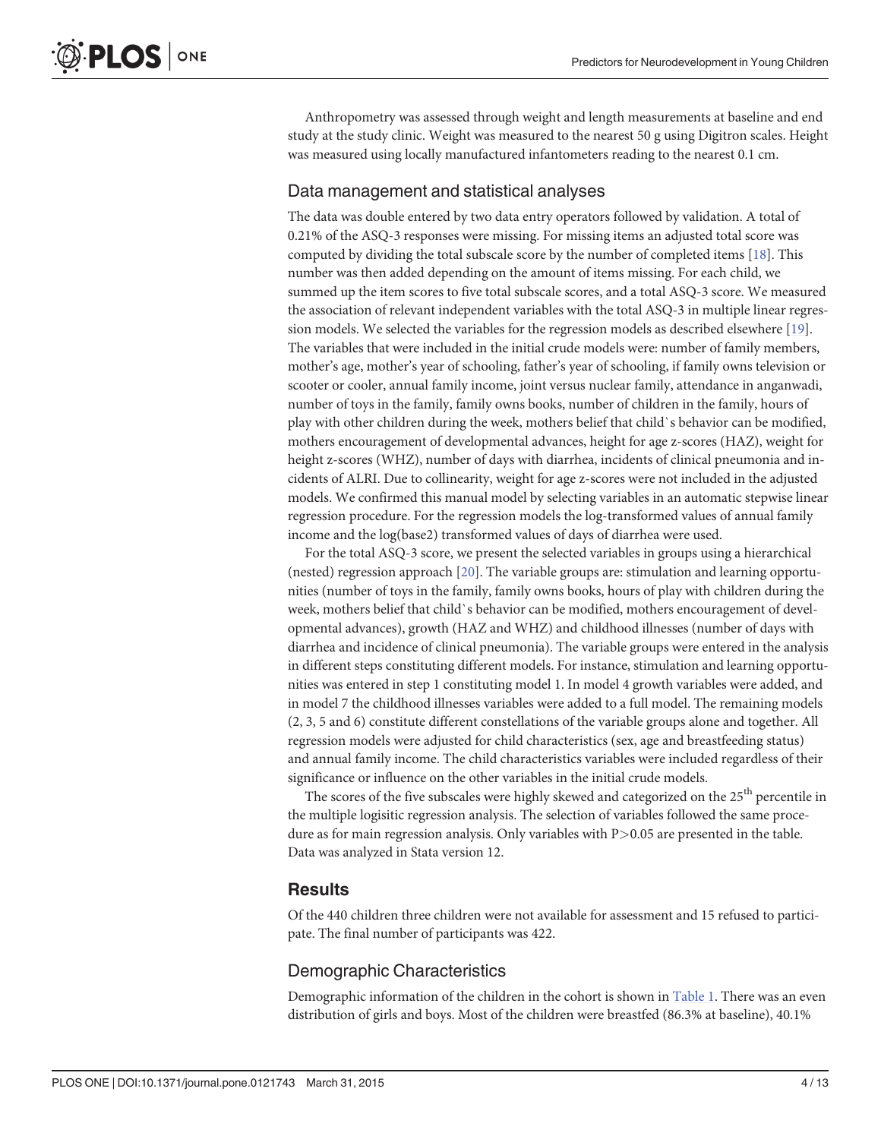<span id="page-3-0"></span>Anthropometry was assessed through weight and length measurements at baseline and end study at the study clinic. Weight was measured to the nearest 50 g using Digitron scales. Height was measured using locally manufactured infantometers reading to the nearest 0.1 cm.

#### Data management and statistical analyses

The data was double entered by two data entry operators followed by validation. A total of 0.21% of the ASQ-3 responses were missing. For missing items an adjusted total score was computed by dividing the total subscale score by the number of completed items [\[18\]](#page-11-0). This number was then added depending on the amount of items missing. For each child, we summed up the item scores to five total subscale scores, and a total ASQ-3 score. We measured the association of relevant independent variables with the total ASQ-3 in multiple linear regression models. We selected the variables for the regression models as described elsewhere [[19](#page-11-0)]. The variables that were included in the initial crude models were: number of family members, mother's age, mother's year of schooling, father's year of schooling, if family owns television or scooter or cooler, annual family income, joint versus nuclear family, attendance in anganwadi, number of toys in the family, family owns books, number of children in the family, hours of play with other children during the week, mothers belief that child`s behavior can be modified, mothers encouragement of developmental advances, height for age z-scores (HAZ), weight for height z-scores (WHZ), number of days with diarrhea, incidents of clinical pneumonia and incidents of ALRI. Due to collinearity, weight for age z-scores were not included in the adjusted models. We confirmed this manual model by selecting variables in an automatic stepwise linear regression procedure. For the regression models the log-transformed values of annual family income and the log(base2) transformed values of days of diarrhea were used.

For the total ASQ-3 score, we present the selected variables in groups using a hierarchical (nested) regression approach [\[20](#page-11-0)]. The variable groups are: stimulation and learning opportunities (number of toys in the family, family owns books, hours of play with children during the week, mothers belief that child`s behavior can be modified, mothers encouragement of developmental advances), growth (HAZ and WHZ) and childhood illnesses (number of days with diarrhea and incidence of clinical pneumonia). The variable groups were entered in the analysis in different steps constituting different models. For instance, stimulation and learning opportunities was entered in step 1 constituting model 1. In model 4 growth variables were added, and in model 7 the childhood illnesses variables were added to a full model. The remaining models (2, 3, 5 and 6) constitute different constellations of the variable groups alone and together. All regression models were adjusted for child characteristics (sex, age and breastfeeding status) and annual family income. The child characteristics variables were included regardless of their significance or influence on the other variables in the initial crude models.

The scores of the five subscales were highly skewed and categorized on the 25<sup>th</sup> percentile in the multiple logisitic regression analysis. The selection of variables followed the same procedure as for main regression analysis. Only variables with  $P > 0.05$  are presented in the table. Data was analyzed in Stata version 12.

#### **Results**

Of the 440 children three children were not available for assessment and 15 refused to participate. The final number of participants was 422.

#### Demographic Characteristics

Demographic information of the children in the cohort is shown in [Table 1.](#page-4-0) There was an even distribution of girls and boys. Most of the children were breastfed (86.3% at baseline), 40.1%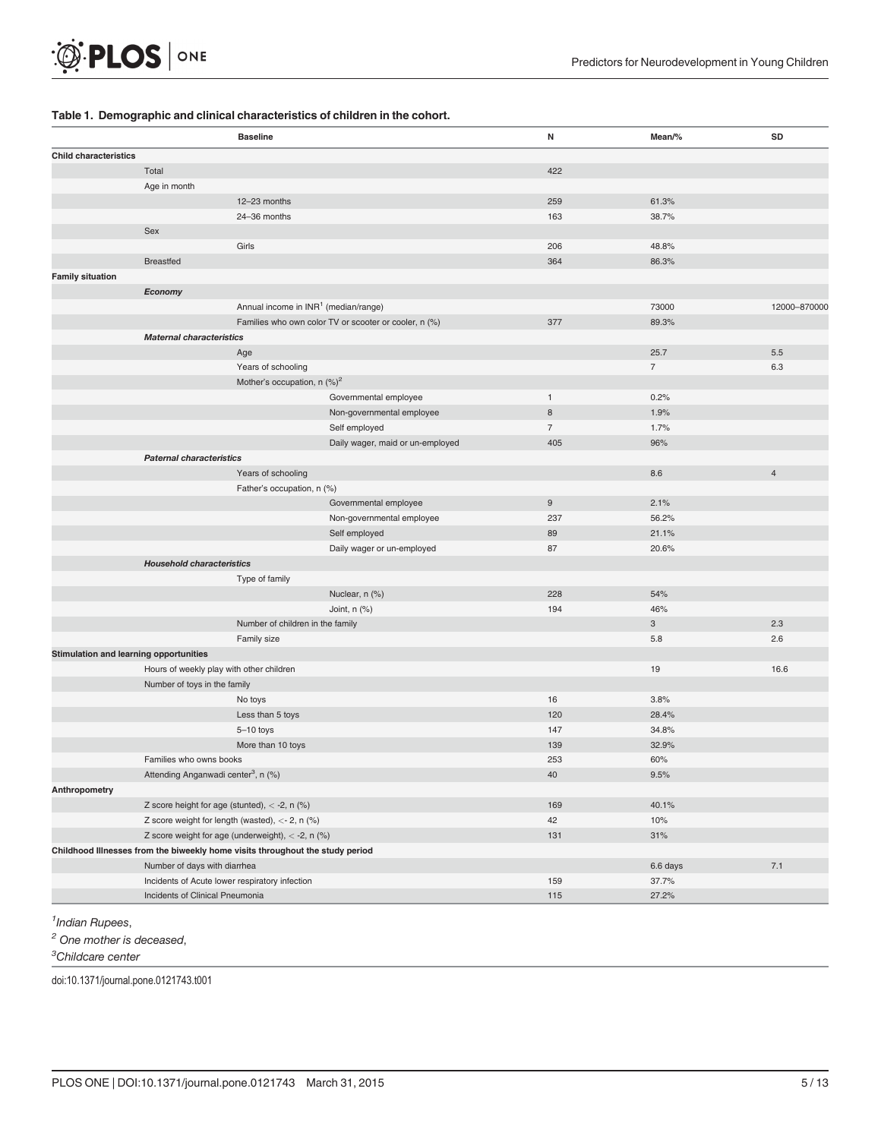<span id="page-4-0"></span>

#### [Table 1.](#page-3-0) Demographic and clinical characteristics of children in the cohort.

|                              |                                                                               | <b>Baseline</b>                                      |                                                       | N              | Mean/%         | SD             |
|------------------------------|-------------------------------------------------------------------------------|------------------------------------------------------|-------------------------------------------------------|----------------|----------------|----------------|
| <b>Child characteristics</b> |                                                                               |                                                      |                                                       |                |                |                |
|                              | Total                                                                         |                                                      |                                                       | 422            |                |                |
|                              | Age in month                                                                  |                                                      |                                                       |                |                |                |
|                              |                                                                               | 12-23 months                                         |                                                       | 259            | 61.3%          |                |
|                              |                                                                               | 24-36 months                                         |                                                       | 163            | 38.7%          |                |
|                              | Sex                                                                           |                                                      |                                                       |                |                |                |
|                              |                                                                               | Girls                                                |                                                       | 206            | 48.8%          |                |
|                              | <b>Breastfed</b>                                                              |                                                      |                                                       | 364            | 86.3%          |                |
| <b>Family situation</b>      |                                                                               |                                                      |                                                       |                |                |                |
|                              | Economy                                                                       |                                                      |                                                       |                |                |                |
|                              |                                                                               | Annual income in INR <sup>1</sup> (median/range)     |                                                       |                | 73000          | 12000-870000   |
|                              |                                                                               |                                                      | Families who own color TV or scooter or cooler, n (%) | 377            | 89.3%          |                |
|                              | <b>Maternal characteristics</b>                                               |                                                      |                                                       |                |                |                |
|                              |                                                                               | Age                                                  |                                                       |                | 25.7           | 5.5            |
|                              |                                                                               | Years of schooling                                   |                                                       |                | $\overline{7}$ | 6.3            |
|                              |                                                                               | Mother's occupation, n (%) <sup>2</sup>              |                                                       |                |                |                |
|                              |                                                                               |                                                      | Governmental employee                                 | $\mathbf{1}$   | 0.2%           |                |
|                              |                                                                               |                                                      | Non-governmental employee                             | 8              | 1.9%           |                |
|                              |                                                                               |                                                      | Self employed                                         | $\overline{7}$ | 1.7%           |                |
|                              |                                                                               |                                                      | Daily wager, maid or un-employed                      | 405            | 96%            |                |
|                              | <b>Paternal characteristics</b>                                               |                                                      |                                                       |                |                |                |
|                              |                                                                               | Years of schooling                                   |                                                       |                | 8.6            | $\overline{4}$ |
|                              |                                                                               | Father's occupation, n (%)                           |                                                       |                |                |                |
|                              |                                                                               |                                                      | Governmental employee                                 | $9\,$          | 2.1%           |                |
|                              |                                                                               |                                                      | Non-governmental employee                             | 237            | 56.2%          |                |
|                              |                                                                               |                                                      | Self employed                                         | 89             | 21.1%          |                |
|                              |                                                                               |                                                      | Daily wager or un-employed                            | 87             | 20.6%          |                |
|                              | <b>Household characteristics</b>                                              |                                                      |                                                       |                |                |                |
|                              |                                                                               | Type of family                                       |                                                       |                |                |                |
|                              |                                                                               |                                                      | Nuclear, n (%)                                        | 228            | 54%            |                |
|                              |                                                                               |                                                      | Joint, n (%)                                          | 194            | 46%            |                |
|                              |                                                                               | Number of children in the family                     |                                                       |                | 3              | 2.3            |
|                              |                                                                               | Family size                                          |                                                       |                | 5.8            | 2.6            |
|                              | Stimulation and learning opportunities                                        |                                                      |                                                       |                |                |                |
|                              | Hours of weekly play with other children                                      |                                                      |                                                       |                | 19             | 16.6           |
|                              | Number of toys in the family                                                  |                                                      |                                                       |                |                |                |
|                              |                                                                               | No toys                                              |                                                       | 16             | 3.8%           |                |
|                              |                                                                               | Less than 5 toys                                     |                                                       | 120            | 28.4%          |                |
|                              |                                                                               | $5 - 10$ toys                                        |                                                       | 147            | 34.8%          |                |
|                              |                                                                               | More than 10 toys                                    |                                                       | 139            | 32.9%          |                |
|                              | Families who owns books                                                       |                                                      |                                                       | 253            | 60%            |                |
|                              | Attending Anganwadi center <sup>3</sup> , n (%)                               |                                                      |                                                       | 40             | 9.5%           |                |
| Anthropometry                |                                                                               |                                                      |                                                       |                |                |                |
|                              |                                                                               | Z score height for age (stunted), $<$ -2, n (%)      |                                                       | 169            | 40.1%          |                |
|                              |                                                                               | Z score weight for length (wasted), $\lt$ - 2, n (%) |                                                       | 42             | 10%            |                |
|                              |                                                                               | Z score weight for age (underweight), $<$ -2, n (%)  |                                                       | 131            | 31%            |                |
|                              | Childhood Illnesses from the biweekly home visits throughout the study period |                                                      |                                                       |                |                |                |
|                              | Number of days with diarrhea                                                  |                                                      |                                                       |                | 6.6 days       | 7.1            |
|                              |                                                                               | Incidents of Acute lower respiratory infection       |                                                       | 159            | 37.7%          |                |
|                              | Incidents of Clinical Pneumonia                                               |                                                      |                                                       | 115            | 27.2%          |                |

<sup>1</sup>Indian Rupees,

<sup>2</sup> One mother is deceased,

<sup>3</sup>Childcare center

doi:10.1371/journal.pone.0121743.t001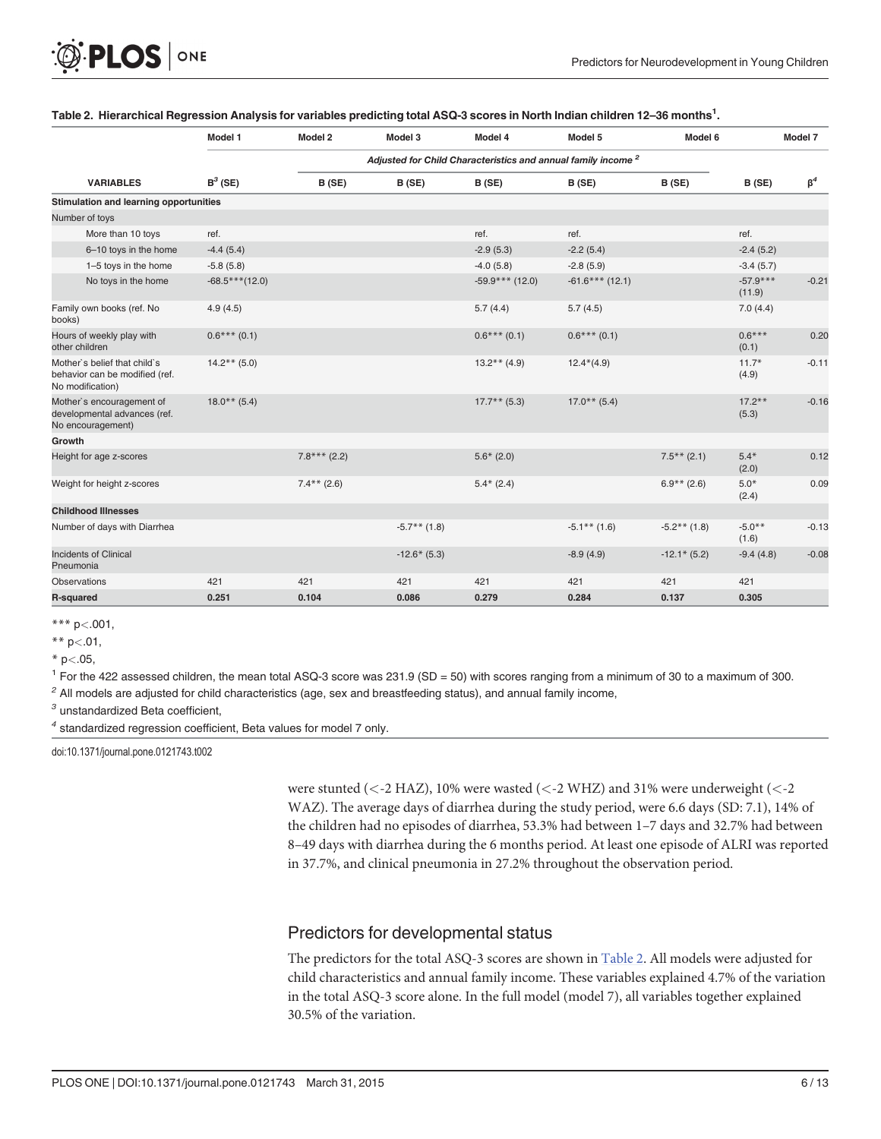<span id="page-5-0"></span>

| O PLOS ONE |  |
|------------|--|
|------------|--|

|                                                                                    | Model 1           | Model 2                                                                  | Model 3        | Model 4           | Model 5           | Model 6        |                      | Model 7   |
|------------------------------------------------------------------------------------|-------------------|--------------------------------------------------------------------------|----------------|-------------------|-------------------|----------------|----------------------|-----------|
|                                                                                    |                   | Adjusted for Child Characteristics and annual family income <sup>2</sup> |                |                   |                   |                |                      |           |
| <b>VARIABLES</b>                                                                   | $B^3$ (SE)        | B (SE)                                                                   | B(SE)          | B (SE)            | B(SE)             | B (SE)         | B (SE)               | $\beta^4$ |
| Stimulation and learning opportunities                                             |                   |                                                                          |                |                   |                   |                |                      |           |
| Number of toys                                                                     |                   |                                                                          |                |                   |                   |                |                      |           |
| More than 10 toys                                                                  | ref.              |                                                                          |                | ref.              | ref.              |                | ref.                 |           |
| 6-10 toys in the home                                                              | $-4.4(5.4)$       |                                                                          |                | $-2.9(5.3)$       | $-2.2(5.4)$       |                | $-2.4(5.2)$          |           |
| 1-5 toys in the home                                                               | $-5.8(5.8)$       |                                                                          |                | $-4.0(5.8)$       | $-2.8(5.9)$       |                | $-3.4(5.7)$          |           |
| No toys in the home                                                                | $-68.5***$ (12.0) |                                                                          |                | $-59.9***$ (12.0) | $-61.6***$ (12.1) |                | $-57.9***$<br>(11.9) | $-0.21$   |
| Family own books (ref. No<br>books)                                                | 4.9(4.5)          |                                                                          |                | 5.7(4.4)          | 5.7(4.5)          |                | 7.0(4.4)             |           |
| Hours of weekly play with<br>other children                                        | $0.6***(0.1)$     |                                                                          |                | $0.6***(0.1)$     | $0.6***(0.1)$     |                | $0.6***$<br>(0.1)    | 0.20      |
| Mother's belief that child's<br>behavior can be modified (ref.<br>No modification) | $14.2**$ (5.0)    |                                                                          |                | $13.2**$ (4.9)    | $12.4*(4.9)$      |                | $11.7*$<br>(4.9)     | $-0.11$   |
| Mother's encouragement of<br>developmental advances (ref.<br>No encouragement)     | $18.0**$ (5.4)    |                                                                          |                | $17.7**$ (5.3)    | $17.0**$ (5.4)    |                | $17.2**$<br>(5.3)    | $-0.16$   |
| Growth                                                                             |                   |                                                                          |                |                   |                   |                |                      |           |
| Height for age z-scores                                                            |                   | $7.8***$ (2.2)                                                           |                | $5.6*(2.0)$       |                   | $7.5***$ (2.1) | $5.4*$<br>(2.0)      | 0.12      |
| Weight for height z-scores                                                         |                   | $7.4***$ (2.6)                                                           |                | $5.4*$ (2.4)      |                   | $6.9**$ (2.6)  | $5.0*$<br>(2.4)      | 0.09      |
| <b>Childhood Illnesses</b>                                                         |                   |                                                                          |                |                   |                   |                |                      |           |
| Number of days with Diarrhea                                                       |                   |                                                                          | $-5.7**$ (1.8) |                   | $-5.1***$ (1.6)   | $-5.2**$ (1.8) | $-5.0**$<br>(1.6)    | $-0.13$   |
| <b>Incidents of Clinical</b><br>Pneumonia                                          |                   |                                                                          | $-12.6*(5.3)$  |                   | $-8.9(4.9)$       | $-12.1*$ (5.2) | $-9.4(4.8)$          | $-0.08$   |
| <b>Observations</b>                                                                | 421               | 421                                                                      | 421            | 421               | 421               | 421            | 421                  |           |
| R-squared                                                                          | 0.251             | 0.104                                                                    | 0.086          | 0.279             | 0.284             | 0.137          | 0.305                |           |

#### Table 2. Hierarchical Regression Analysis for variables predicting total ASQ-3 scores in North Indian children 12–36 months $^1\!$

\*\*\* p<.001,

 $** p<.01,$ 

 $*$  p $< .05$ ,

<sup>1</sup> For the 422 assessed children, the mean total ASQ-3 score was 231.9 (SD = 50) with scores ranging from a minimum of 30 to a maximum of 300.

 $<sup>2</sup>$  All models are adjusted for child characteristics (age, sex and breastfeeding status), and annual family income,</sup>

<sup>3</sup> unstandardized Beta coefficient,

 $^4$  standardized regression coefficient, Beta values for model 7 only.

doi:10.1371/journal.pone.0121743.t002

were stunted (<-2 HAZ), 10% were wasted (<-2 WHZ) and 31% were underweight (<-2 WAZ). The average days of diarrhea during the study period, were 6.6 days (SD: 7.1), 14% of the children had no episodes of diarrhea, 53.3% had between 1–7 days and 32.7% had between 8–49 days with diarrhea during the 6 months period. At least one episode of ALRI was reported in 37.7%, and clinical pneumonia in 27.2% throughout the observation period.

#### Predictors for developmental status

The predictors for the total ASQ-3 scores are shown in Table 2. All models were adjusted for child characteristics and annual family income. These variables explained 4.7% of the variation in the total ASQ-3 score alone. In the full model (model 7), all variables together explained 30.5% of the variation.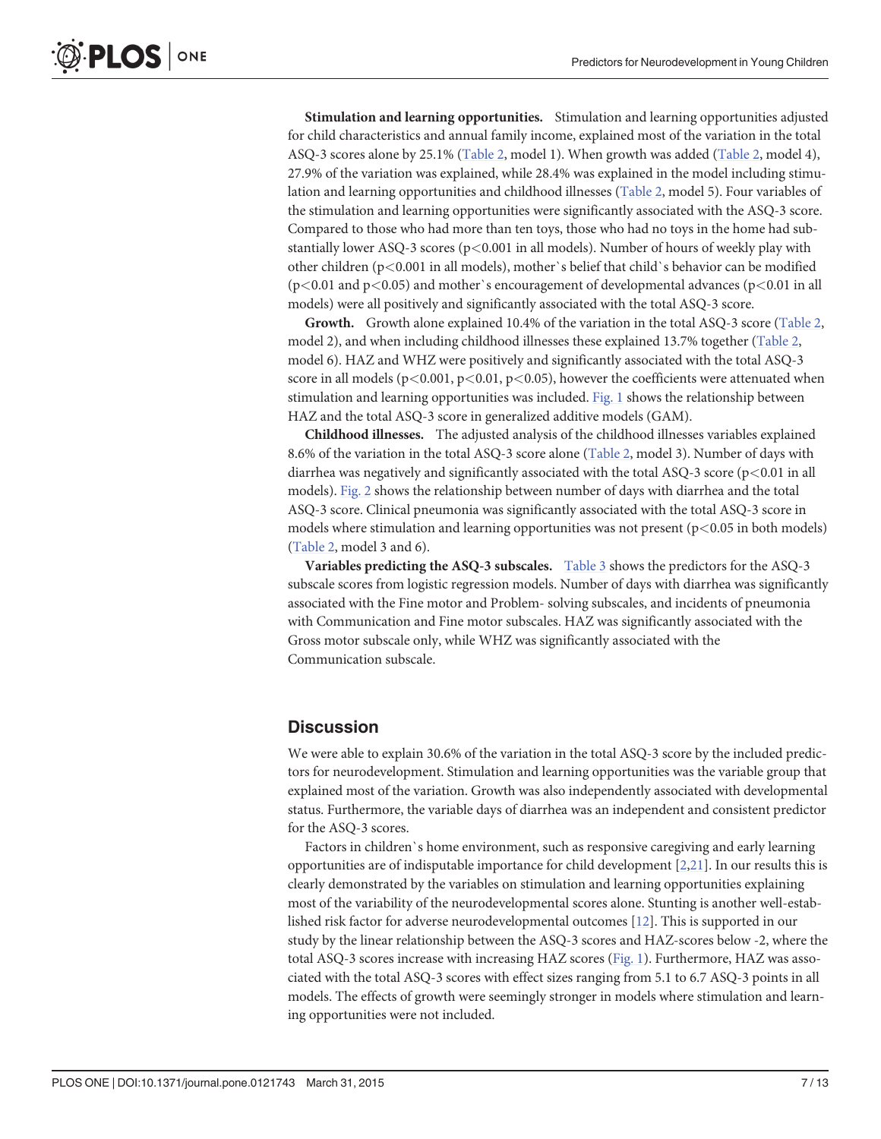<span id="page-6-0"></span>Stimulation and learning opportunities. Stimulation and learning opportunities adjusted for child characteristics and annual family income, explained most of the variation in the total ASQ-3 scores alone by 25.1% [\(Table 2](#page-5-0), model 1). When growth was added ([Table 2](#page-5-0), model 4), 27.9% of the variation was explained, while 28.4% was explained in the model including stimulation and learning opportunities and childhood illnesses [\(Table 2](#page-5-0), model 5). Four variables of the stimulation and learning opportunities were significantly associated with the ASQ-3 score. Compared to those who had more than ten toys, those who had no toys in the home had substantially lower ASQ-3 scores ( $p<0.001$  in all models). Number of hours of weekly play with other children (p<0.001 in all models), mother`s belief that child`s behavior can be modified  $(p<0.01$  and  $p<0.05)$  and mother`s encouragement of developmental advances  $(p<0.01$  in all models) were all positively and significantly associated with the total ASQ-3 score.

Growth. Growth alone explained 10.4% of the variation in the total ASQ-3 score ([Table 2,](#page-5-0) model 2), and when including childhood illnesses these explained 13.7% together ([Table 2](#page-5-0), model 6). HAZ and WHZ were positively and significantly associated with the total ASQ-3 score in all models ( $p<0.001$ ,  $p<0.01$ ,  $p<0.05$ ), however the coefficients were attenuated when stimulation and learning opportunities was included. [Fig. 1](#page-7-0) shows the relationship between HAZ and the total ASQ-3 score in generalized additive models (GAM).

Childhood illnesses. The adjusted analysis of the childhood illnesses variables explained 8.6% of the variation in the total ASQ-3 score alone ([Table 2,](#page-5-0) model 3). Number of days with diarrhea was negatively and significantly associated with the total ASQ-3 score ( $p$ <0.01 in all models). [Fig. 2](#page-8-0) shows the relationship between number of days with diarrhea and the total ASQ-3 score. Clinical pneumonia was significantly associated with the total ASQ-3 score in models where stimulation and learning opportunities was not present  $(p<0.05$  in both models) [\(Table 2,](#page-5-0) model 3 and 6).

Variables predicting the ASQ-3 subscales. [Table 3](#page-9-0) shows the predictors for the ASQ-3 subscale scores from logistic regression models. Number of days with diarrhea was significantly associated with the Fine motor and Problem- solving subscales, and incidents of pneumonia with Communication and Fine motor subscales. HAZ was significantly associated with the Gross motor subscale only, while WHZ was significantly associated with the Communication subscale.

#### **Discussion**

We were able to explain 30.6% of the variation in the total ASQ-3 score by the included predictors for neurodevelopment. Stimulation and learning opportunities was the variable group that explained most of the variation. Growth was also independently associated with developmental status. Furthermore, the variable days of diarrhea was an independent and consistent predictor for the ASQ-3 scores.

Factors in children`s home environment, such as responsive caregiving and early learning opportunities are of indisputable importance for child development  $[2,21]$  $[2,21]$  $[2,21]$  $[2,21]$ . In our results this is clearly demonstrated by the variables on stimulation and learning opportunities explaining most of the variability of the neurodevelopmental scores alone. Stunting is another well-established risk factor for adverse neurodevelopmental outcomes [[12\]](#page-11-0). This is supported in our study by the linear relationship between the ASQ-3 scores and HAZ-scores below -2, where the total ASQ-3 scores increase with increasing HAZ scores ([Fig. 1\)](#page-7-0). Furthermore, HAZ was associated with the total ASQ-3 scores with effect sizes ranging from 5.1 to 6.7 ASQ-3 points in all models. The effects of growth were seemingly stronger in models where stimulation and learning opportunities were not included.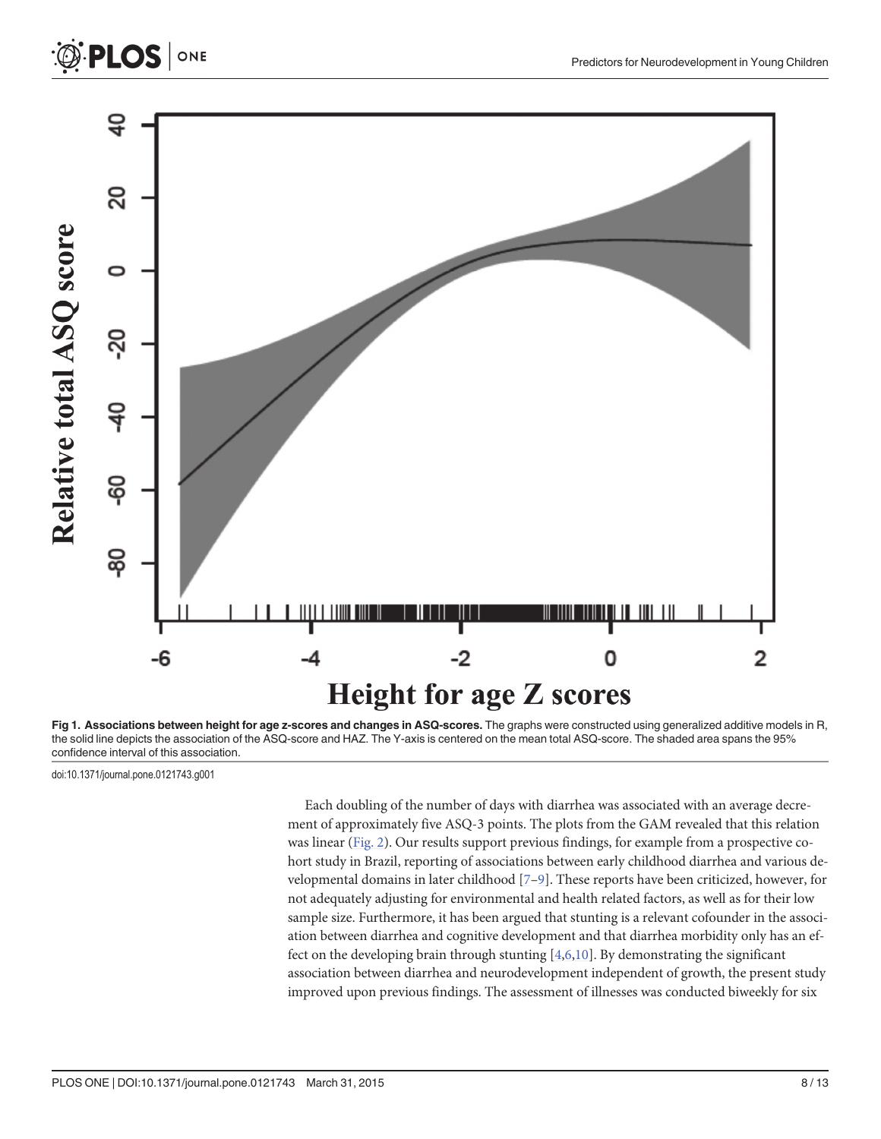<span id="page-7-0"></span>

[Fig 1. A](#page-6-0)ssociations between height for age z-scores and changes in ASQ-scores. The graphs were constructed using generalized additive models in R, the solid line depicts the association of the ASQ-score and HAZ. The Y-axis is centered on the mean total ASQ-score. The shaded area spans the 95% confidence interval of this association.

doi:10.1371/journal.pone.0121743.g001

Each doubling of the number of days with diarrhea was associated with an average decrement of approximately five ASQ-3 points. The plots from the GAM revealed that this relation was linear [\(Fig. 2\)](#page-8-0). Our results support previous findings, for example from a prospective cohort study in Brazil, reporting of associations between early childhood diarrhea and various developmental domains in later childhood [\[7](#page-11-0)–[9\]](#page-11-0). These reports have been criticized, however, for not adequately adjusting for environmental and health related factors, as well as for their low sample size. Furthermore, it has been argued that stunting is a relevant cofounder in the association between diarrhea and cognitive development and that diarrhea morbidity only has an effect on the developing brain through stunting  $[4,6,10]$  $[4,6,10]$  $[4,6,10]$  $[4,6,10]$  $[4,6,10]$  $[4,6,10]$  $[4,6,10]$ . By demonstrating the significant association between diarrhea and neurodevelopment independent of growth, the present study improved upon previous findings. The assessment of illnesses was conducted biweekly for six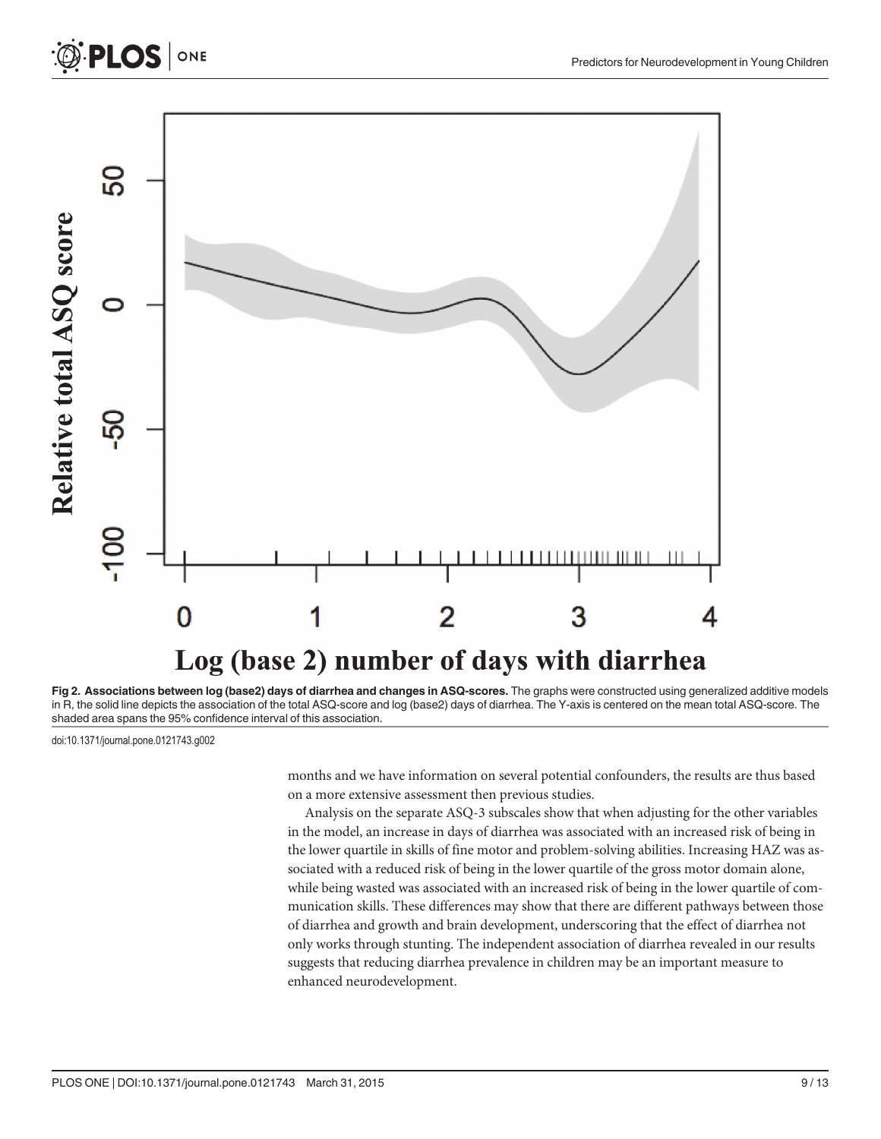<span id="page-8-0"></span>

[Fig 2. A](#page-6-0)ssociations between log (base2) days of diarrhea and changes in ASQ-scores. The graphs were constructed using generalized additive models in R, the solid line depicts the association of the total ASQ-score and log (base2) days of diarrhea. The Y-axis is centered on the mean total ASQ-score. The shaded area spans the 95% confidence interval of this association.

doi:10.1371/journal.pone.0121743.g002

ONE

**PLOS I** 

months and we have information on several potential confounders, the results are thus based on a more extensive assessment then previous studies.

Analysis on the separate ASQ-3 subscales show that when adjusting for the other variables in the model, an increase in days of diarrhea was associated with an increased risk of being in the lower quartile in skills of fine motor and problem-solving abilities. Increasing HAZ was associated with a reduced risk of being in the lower quartile of the gross motor domain alone, while being wasted was associated with an increased risk of being in the lower quartile of communication skills. These differences may show that there are different pathways between those of diarrhea and growth and brain development, underscoring that the effect of diarrhea not only works through stunting. The independent association of diarrhea revealed in our results suggests that reducing diarrhea prevalence in children may be an important measure to enhanced neurodevelopment.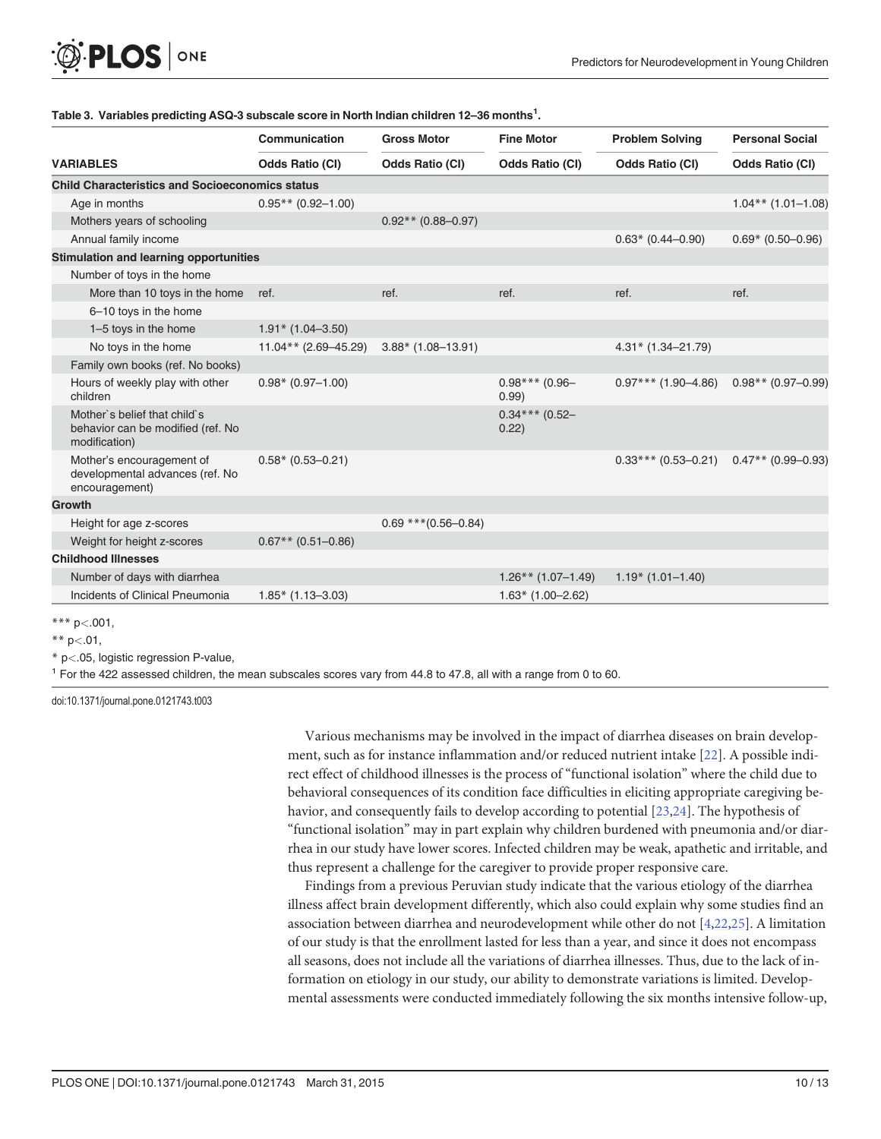<span id="page-9-0"></span>

|                                                                                    | Communication          | <b>Gross Motor</b>         | <b>Fine Motor</b>         | <b>Problem Solving</b> | <b>Personal Social</b> |  |
|------------------------------------------------------------------------------------|------------------------|----------------------------|---------------------------|------------------------|------------------------|--|
| <b>VARIABLES</b>                                                                   | <b>Odds Ratio (CI)</b> | <b>Odds Ratio (CI)</b>     | <b>Odds Ratio (CI)</b>    | <b>Odds Ratio (CI)</b> | <b>Odds Ratio (CI)</b> |  |
| <b>Child Characteristics and Socioeconomics status</b>                             |                        |                            |                           |                        |                        |  |
| Age in months                                                                      | $0.95**$ (0.92-1.00)   |                            |                           |                        | $1.04**$ (1.01-1.08)   |  |
| Mothers years of schooling                                                         |                        | $0.92**$ (0.88-0.97)       |                           |                        |                        |  |
| Annual family income                                                               |                        |                            |                           | $0.63*$ (0.44-0.90)    | $0.69*$ (0.50-0.96)    |  |
| Stimulation and learning opportunities                                             |                        |                            |                           |                        |                        |  |
| Number of toys in the home                                                         |                        |                            |                           |                        |                        |  |
| More than 10 toys in the home                                                      | ref.                   | ref.                       | ref.                      | ref.                   | ref.                   |  |
| 6-10 toys in the home                                                              |                        |                            |                           |                        |                        |  |
| 1-5 toys in the home                                                               | $1.91*$ (1.04-3.50)    |                            |                           |                        |                        |  |
| No toys in the home                                                                | $11.04**$ (2.69-45.29) | $3.88*$ (1.08-13.91)       |                           | $4.31*$ (1.34-21.79)   |                        |  |
| Family own books (ref. No books)                                                   |                        |                            |                           |                        |                        |  |
| Hours of weekly play with other<br>children                                        | $0.98*$ (0.97-1.00)    |                            | $0.98***$ (0.96-<br>0.99) | $0.97***$ (1.90-4.86)  | $0.98**$ (0.97-0.99)   |  |
| Mother's belief that child's<br>behavior can be modified (ref. No<br>modification) |                        |                            | $0.34***$ (0.52-<br>0.22) |                        |                        |  |
| Mother's encouragement of<br>developmental advances (ref. No<br>encouragement)     | $0.58*(0.53 - 0.21)$   |                            |                           | $0.33***$ (0.53-0.21)  | $0.47**$ (0.99-0.93)   |  |
| <b>Growth</b>                                                                      |                        |                            |                           |                        |                        |  |
| Height for age z-scores                                                            |                        | $0.69$ *** $(0.56 - 0.84)$ |                           |                        |                        |  |
| Weight for height z-scores                                                         | $0.67**$ (0.51-0.86)   |                            |                           |                        |                        |  |
| <b>Childhood Illnesses</b>                                                         |                        |                            |                           |                        |                        |  |
| Number of days with diarrhea                                                       |                        |                            | $1.26**$ (1.07-1.49)      | $1.19*$ (1.01-1.40)    |                        |  |
| Incidents of Clinical Pneumonia                                                    | $1.85*$ (1.13-3.03)    |                            | $1.63*$ (1.00-2.62)       |                        |                        |  |

#### [Table 3.](#page-6-0) Variables predicting ASQ-3 subscale score in North Indian children 12–36 months $^{\rm 1}$ .

\*\*\*  $p < .001$ ,

\*\*  $p<.01$ ,

\* p<.05, logistic regression P-value,

<sup>1</sup> For the 422 assessed children, the mean subscales scores vary from 44.8 to 47.8, all with a range from 0 to 60.

doi:10.1371/journal.pone.0121743.t003

Various mechanisms may be involved in the impact of diarrhea diseases on brain development, such as for instance inflammation and/or reduced nutrient intake [\[22](#page-11-0)]. A possible indirect effect of childhood illnesses is the process of "functional isolation" where the child due to behavioral consequences of its condition face difficulties in eliciting appropriate caregiving behavior, and consequently fails to develop according to potential [[23,24](#page-11-0)]. The hypothesis of "functional isolation" may in part explain why children burdened with pneumonia and/or diarrhea in our study have lower scores. Infected children may be weak, apathetic and irritable, and thus represent a challenge for the caregiver to provide proper responsive care.

Findings from a previous Peruvian study indicate that the various etiology of the diarrhea illness affect brain development differently, which also could explain why some studies find an association between diarrhea and neurodevelopment while other do not [[4](#page-10-0),[22,25\]](#page-11-0). A limitation of our study is that the enrollment lasted for less than a year, and since it does not encompass all seasons, does not include all the variations of diarrhea illnesses. Thus, due to the lack of information on etiology in our study, our ability to demonstrate variations is limited. Developmental assessments were conducted immediately following the six months intensive follow-up,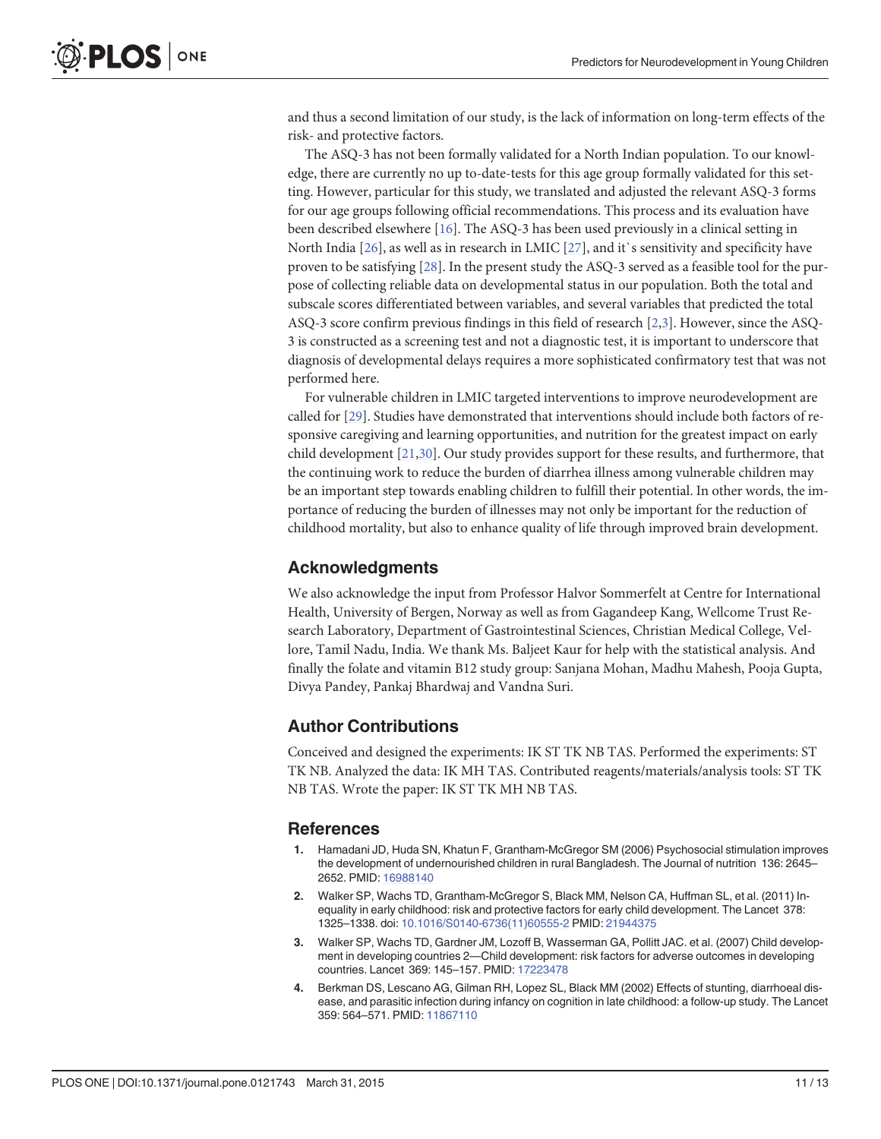<span id="page-10-0"></span>and thus a second limitation of our study, is the lack of information on long-term effects of the risk- and protective factors.

The ASQ-3 has not been formally validated for a North Indian population. To our knowledge, there are currently no up to-date-tests for this age group formally validated for this setting. However, particular for this study, we translated and adjusted the relevant ASQ-3 forms for our age groups following official recommendations. This process and its evaluation have been described elsewhere [\[16\]](#page-11-0). The ASQ-3 has been used previously in a clinical setting in North India [\[26\]](#page-11-0), as well as in research in LMIC [[27](#page-11-0)], and it`s sensitivity and specificity have proven to be satisfying [[28](#page-12-0)]. In the present study the ASQ-3 served as a feasible tool for the purpose of collecting reliable data on developmental status in our population. Both the total and subscale scores differentiated between variables, and several variables that predicted the total ASQ-3 score confirm previous findings in this field of research [2,3]. However, since the ASQ-3 is constructed as a screening test and not a diagnostic test, it is important to underscore that diagnosis of developmental delays requires a more sophisticated confirmatory test that was not performed here.

For vulnerable children in LMIC targeted interventions to improve neurodevelopment are called for [\[29\]](#page-12-0). Studies have demonstrated that interventions should include both factors of responsive caregiving and learning opportunities, and nutrition for the greatest impact on early child development [\[21,](#page-11-0)[30\]](#page-12-0). Our study provides support for these results, and furthermore, that the continuing work to reduce the burden of diarrhea illness among vulnerable children may be an important step towards enabling children to fulfill their potential. In other words, the importance of reducing the burden of illnesses may not only be important for the reduction of childhood mortality, but also to enhance quality of life through improved brain development.

#### Acknowledgments

We also acknowledge the input from Professor Halvor Sommerfelt at Centre for International Health, University of Bergen, Norway as well as from Gagandeep Kang, Wellcome Trust Research Laboratory, Department of Gastrointestinal Sciences, Christian Medical College, Vellore, Tamil Nadu, India. We thank Ms. Baljeet Kaur for help with the statistical analysis. And finally the folate and vitamin B12 study group: Sanjana Mohan, Madhu Mahesh, Pooja Gupta, Divya Pandey, Pankaj Bhardwaj and Vandna Suri.

#### Author Contributions

Conceived and designed the experiments: IK ST TK NB TAS. Performed the experiments: ST TK NB. Analyzed the data: IK MH TAS. Contributed reagents/materials/analysis tools: ST TK NB TAS. Wrote the paper: IK ST TK MH NB TAS.

#### **References**

- [1.](#page-1-0) Hamadani JD, Huda SN, Khatun F, Grantham-McGregor SM (2006) Psychosocial stimulation improves the development of undernourished children in rural Bangladesh. The Journal of nutrition 136: 2645– 2652. PMID: [16988140](http://www.ncbi.nlm.nih.gov/pubmed/16988140)
- [2.](#page-1-0) Walker SP, Wachs TD, Grantham-McGregor S, Black MM, Nelson CA, Huffman SL, et al. (2011) Inequality in early childhood: risk and protective factors for early child development. The Lancet 378: 1325–1338. doi: [10.1016/S0140-6736\(11\)60555-2](http://dx.doi.org/10.1016/S0140-6736(11)60555-2) PMID: [21944375](http://www.ncbi.nlm.nih.gov/pubmed/21944375)
- [3.](#page-1-0) Walker SP, Wachs TD, Gardner JM, Lozoff B, Wasserman GA, Pollitt JAC. et al. (2007) Child development in developing countries 2—Child development: risk factors for adverse outcomes in developing countries. Lancet 369: 145–157. PMID: [17223478](http://www.ncbi.nlm.nih.gov/pubmed/17223478)
- [4.](#page-1-0) Berkman DS, Lescano AG, Gilman RH, Lopez SL, Black MM (2002) Effects of stunting, diarrhoeal disease, and parasitic infection during infancy on cognition in late childhood: a follow-up study. The Lancet 359: 564–571. PMID: [11867110](http://www.ncbi.nlm.nih.gov/pubmed/11867110)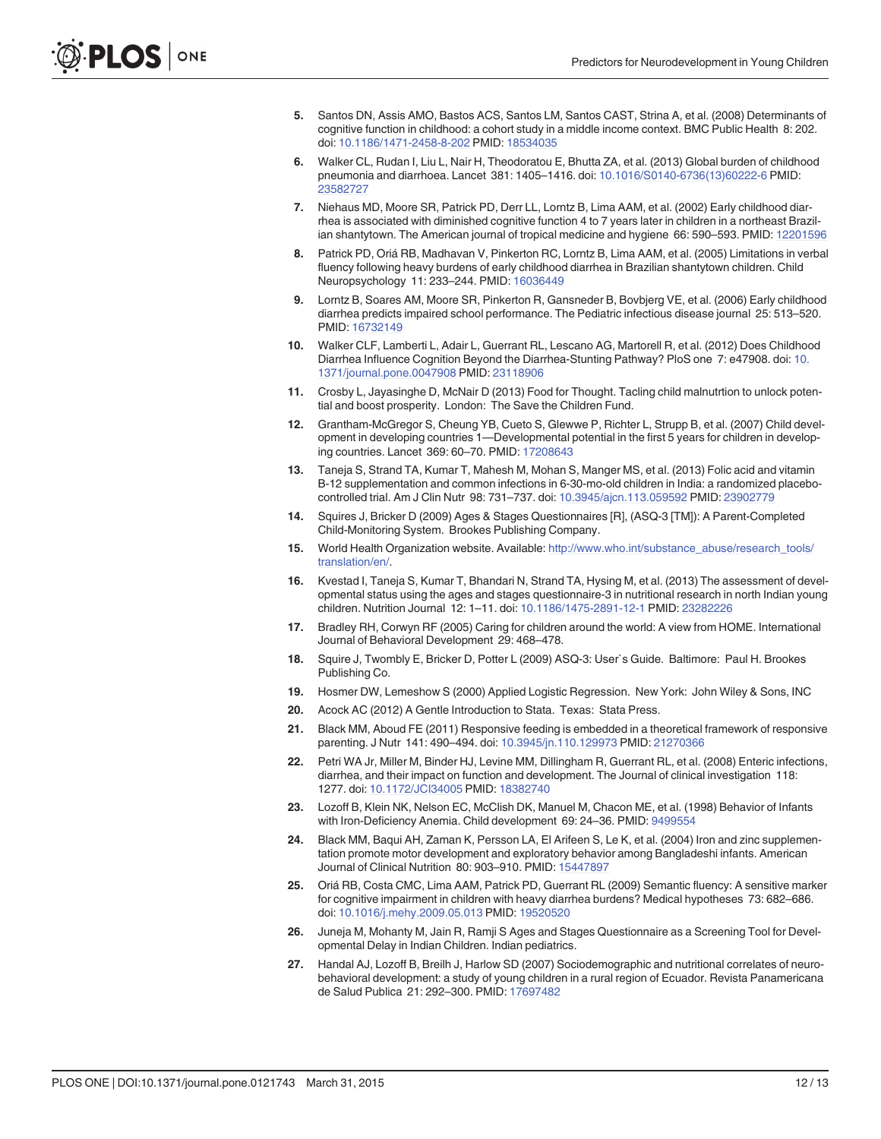- <span id="page-11-0"></span>[5.](#page-1-0) Santos DN, Assis AMO, Bastos ACS, Santos LM, Santos CAST, Strina A, et al. (2008) Determinants of cognitive function in childhood: a cohort study in a middle income context. BMC Public Health 8: 202. doi: [10.1186/1471-2458-8-202](http://dx.doi.org/10.1186/1471-2458-8-202) PMID: [18534035](http://www.ncbi.nlm.nih.gov/pubmed/18534035)
- [6.](#page-1-0) Walker CL, Rudan I, Liu L, Nair H, Theodoratou E, Bhutta ZA, et al. (2013) Global burden of childhood pneumonia and diarrhoea. Lancet 381: 1405–1416. doi: [10.1016/S0140-6736\(13\)60222-6](http://dx.doi.org/10.1016/S0140-6736(13)60222-6) PMID: [23582727](http://www.ncbi.nlm.nih.gov/pubmed/23582727)
- [7.](#page-1-0) Niehaus MD, Moore SR, Patrick PD, Derr LL, Lorntz B, Lima AAM, et al. (2002) Early childhood diarrhea is associated with diminished cognitive function 4 to 7 years later in children in a northeast Brazilian shantytown. The American journal of tropical medicine and hygiene 66: 590–593. PMID: [12201596](http://www.ncbi.nlm.nih.gov/pubmed/12201596)
- 8. Patrick PD, Oriá RB, Madhavan V, Pinkerton RC, Lorntz B, Lima AAM, et al. (2005) Limitations in verbal fluency following heavy burdens of early childhood diarrhea in Brazilian shantytown children. Child Neuropsychology 11: 233–244. PMID: [16036449](http://www.ncbi.nlm.nih.gov/pubmed/16036449)
- [9.](#page-1-0) Lorntz B, Soares AM, Moore SR, Pinkerton R, Gansneder B, Bovbjerg VE, et al. (2006) Early childhood diarrhea predicts impaired school performance. The Pediatric infectious disease journal 25: 513–520. PMID: [16732149](http://www.ncbi.nlm.nih.gov/pubmed/16732149)
- [10.](#page-1-0) Walker CLF, Lamberti L, Adair L, Guerrant RL, Lescano AG, Martorell R, et al. (2012) Does Childhood Diarrhea Influence Cognition Beyond the Diarrhea-Stunting Pathway? PloS one 7: e47908. doi: [10.](http://dx.doi.org/10.1371/journal.pone.0047908) [1371/journal.pone.0047908](http://dx.doi.org/10.1371/journal.pone.0047908) PMID: [23118906](http://www.ncbi.nlm.nih.gov/pubmed/23118906)
- [11.](#page-1-0) Crosby L, Jayasinghe D, McNair D (2013) Food for Thought. Tacling child malnutrtion to unlock potential and boost prosperity. London: The Save the Children Fund.
- [12.](#page-1-0) Grantham-McGregor S, Cheung YB, Cueto S, Glewwe P, Richter L, Strupp B, et al. (2007) Child development in developing countries 1—Developmental potential in the first 5 years for children in developing countries. Lancet 369: 60–70. PMID: [17208643](http://www.ncbi.nlm.nih.gov/pubmed/17208643)
- [13.](#page-1-0) Taneja S, Strand TA, Kumar T, Mahesh M, Mohan S, Manger MS, et al. (2013) Folic acid and vitamin B-12 supplementation and common infections in 6-30-mo-old children in India: a randomized placebocontrolled trial. Am J Clin Nutr 98: 731–737. doi: [10.3945/ajcn.113.059592](http://dx.doi.org/10.3945/ajcn.113.059592) PMID: [23902779](http://www.ncbi.nlm.nih.gov/pubmed/23902779)
- [14.](#page-2-0) Squires J, Bricker D (2009) Ages & Stages Questionnaires [R], (ASQ-3 [TM]): A Parent-Completed Child-Monitoring System. Brookes Publishing Company.
- [15.](#page-2-0) World Health Organization website. Available: [http://www.who.int/substance\\_abuse/research\\_tools/](http://www.who.int/substance_abuse/research_tools/translation/en/) [translation/en/](http://www.who.int/substance_abuse/research_tools/translation/en/).
- [16.](#page-2-0) Kvestad I, Taneja S, Kumar T, Bhandari N, Strand TA, Hysing M, et al. (2013) The assessment of developmental status using the ages and stages questionnaire-3 in nutritional research in north Indian young children. Nutrition Journal 12: 1–11. doi: [10.1186/1475-2891-12-1](http://dx.doi.org/10.1186/1475-2891-12-1) PMID: [23282226](http://www.ncbi.nlm.nih.gov/pubmed/23282226)
- [17.](#page-2-0) Bradley RH, Corwyn RF (2005) Caring for children around the world: A view from HOME. International Journal of Behavioral Development 29: 468–478.
- [18.](#page-3-0) Squire J, Twombly E, Bricker D, Potter L (2009) ASQ-3: User`s Guide. Baltimore: Paul H. Brookes Publishing Co.
- [19.](#page-3-0) Hosmer DW, Lemeshow S (2000) Applied Logistic Regression. New York: John Wiley & Sons, INC
- [20.](#page-3-0) Acock AC (2012) A Gentle Introduction to Stata. Texas: Stata Press.
- [21.](#page-6-0) Black MM, Aboud FE (2011) Responsive feeding is embedded in a theoretical framework of responsive parenting. J Nutr 141: 490–494. doi: [10.3945/jn.110.129973](http://dx.doi.org/10.3945/jn.110.129973) PMID: [21270366](http://www.ncbi.nlm.nih.gov/pubmed/21270366)
- [22.](#page-9-0) Petri WA Jr, Miller M, Binder HJ, Levine MM, Dillingham R, Guerrant RL, et al. (2008) Enteric infections, diarrhea, and their impact on function and development. The Journal of clinical investigation 118: 1277. doi: [10.1172/JCI34005](http://dx.doi.org/10.1172/JCI34005) PMID: [18382740](http://www.ncbi.nlm.nih.gov/pubmed/18382740)
- [23.](#page-9-0) Lozoff B, Klein NK, Nelson EC, McClish DK, Manuel M, Chacon ME, et al. (1998) Behavior of Infants with Iron‐Deficiency Anemia. Child development 69: 24–36. PMID: [9499554](http://www.ncbi.nlm.nih.gov/pubmed/9499554)
- [24.](#page-9-0) Black MM, Baqui AH, Zaman K, Persson LA, El Arifeen S, Le K, et al. (2004) Iron and zinc supplementation promote motor development and exploratory behavior among Bangladeshi infants. American Journal of Clinical Nutrition 80: 903–910. PMID: [15447897](http://www.ncbi.nlm.nih.gov/pubmed/15447897)
- [25.](#page-9-0) Oriá RB, Costa CMC, Lima AAM, Patrick PD, Guerrant RL (2009) Semantic fluency: A sensitive marker for cognitive impairment in children with heavy diarrhea burdens? Medical hypotheses 73: 682–686. doi: [10.1016/j.mehy.2009.05.013](http://dx.doi.org/10.1016/j.mehy.2009.05.013) PMID: [19520520](http://www.ncbi.nlm.nih.gov/pubmed/19520520)
- [26.](#page-10-0) Juneja M, Mohanty M, Jain R, Ramji S Ages and Stages Questionnaire as a Screening Tool for Developmental Delay in Indian Children. Indian pediatrics.
- [27.](#page-10-0) Handal AJ, Lozoff B, Breilh J, Harlow SD (2007) Sociodemographic and nutritional correlates of neurobehavioral development: a study of young children in a rural region of Ecuador. Revista Panamericana de Salud Publica 21: 292–300. PMID: [17697482](http://www.ncbi.nlm.nih.gov/pubmed/17697482)